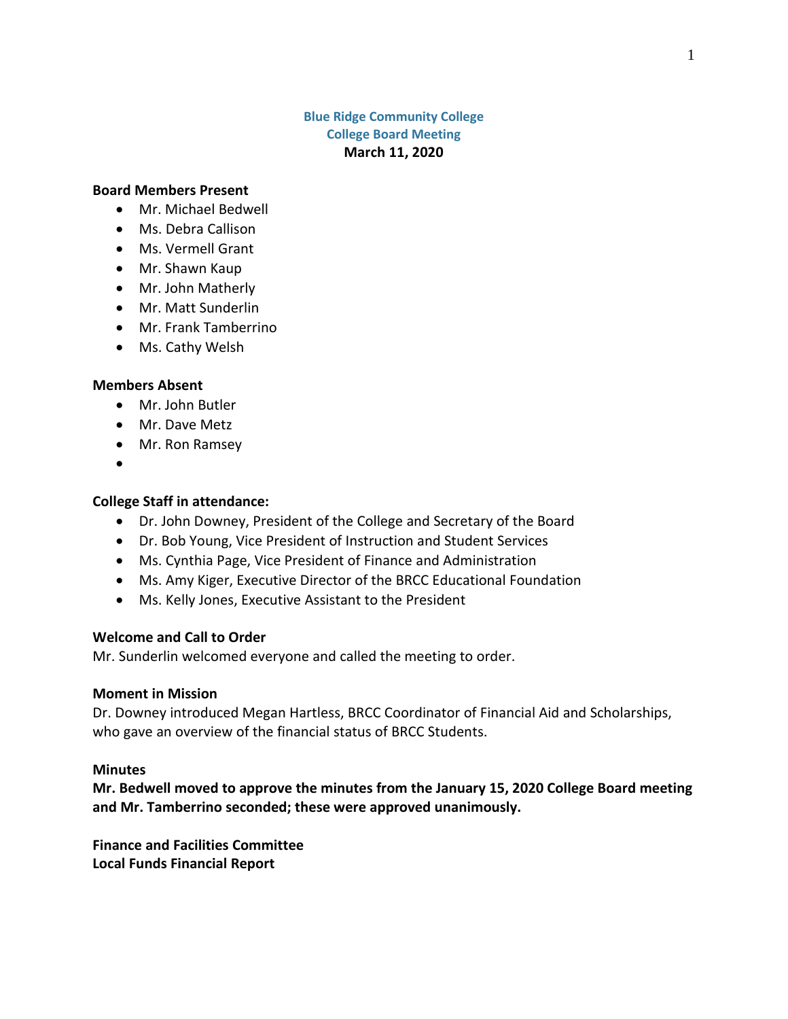### **Blue Ridge Community College College Board Meeting March 11, 2020**

#### **Board Members Present**

- Mr. Michael Bedwell
- Ms. Debra Callison
- Ms. Vermell Grant
- Mr. Shawn Kaup
- Mr. John Matherly
- Mr. Matt Sunderlin
- Mr. Frank Tamberrino
- Ms. Cathy Welsh

#### **Members Absent**

- Mr. John Butler
- Mr. Dave Metz
- Mr. Ron Ramsey
- $\bullet$

#### **College Staff in attendance:**

- Dr. John Downey, President of the College and Secretary of the Board
- Dr. Bob Young, Vice President of Instruction and Student Services
- Ms. Cynthia Page, Vice President of Finance and Administration
- Ms. Amy Kiger, Executive Director of the BRCC Educational Foundation
- Ms. Kelly Jones, Executive Assistant to the President

### **Welcome and Call to Order**

Mr. Sunderlin welcomed everyone and called the meeting to order.

#### **Moment in Mission**

Dr. Downey introduced Megan Hartless, BRCC Coordinator of Financial Aid and Scholarships, who gave an overview of the financial status of BRCC Students.

#### **Minutes**

**Mr. Bedwell moved to approve the minutes from the January 15, 2020 College Board meeting and Mr. Tamberrino seconded; these were approved unanimously.**

**Finance and Facilities Committee Local Funds Financial Report**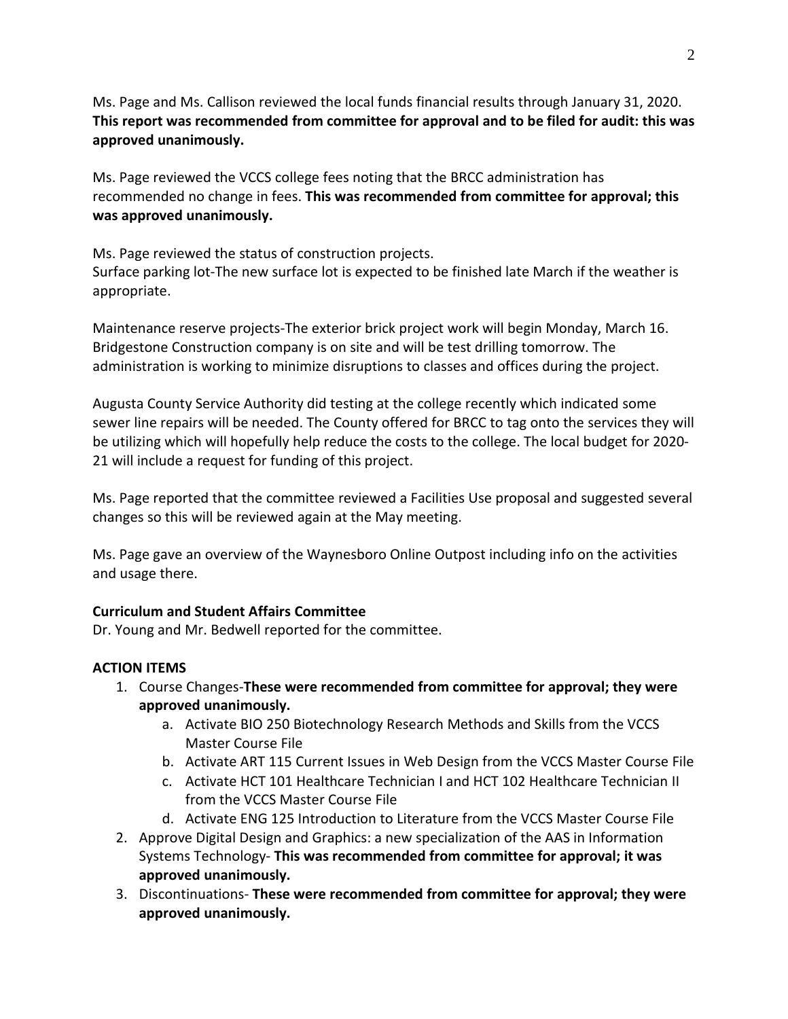Ms. Page and Ms. Callison reviewed the local funds financial results through January 31, 2020. **This report was recommended from committee for approval and to be filed for audit: this was approved unanimously.**

Ms. Page reviewed the VCCS college fees noting that the BRCC administration has recommended no change in fees. **This was recommended from committee for approval; this was approved unanimously.**

Ms. Page reviewed the status of construction projects. Surface parking lot-The new surface lot is expected to be finished late March if the weather is appropriate.

Maintenance reserve projects-The exterior brick project work will begin Monday, March 16. Bridgestone Construction company is on site and will be test drilling tomorrow. The administration is working to minimize disruptions to classes and offices during the project.

Augusta County Service Authority did testing at the college recently which indicated some sewer line repairs will be needed. The County offered for BRCC to tag onto the services they will be utilizing which will hopefully help reduce the costs to the college. The local budget for 2020- 21 will include a request for funding of this project.

Ms. Page reported that the committee reviewed a Facilities Use proposal and suggested several changes so this will be reviewed again at the May meeting.

Ms. Page gave an overview of the Waynesboro Online Outpost including info on the activities and usage there.

# **Curriculum and Student Affairs Committee**

Dr. Young and Mr. Bedwell reported for the committee.

## **ACTION ITEMS**

- 1. Course Changes-**These were recommended from committee for approval; they were approved unanimously.**
	- a. Activate BIO 250 Biotechnology Research Methods and Skills from the VCCS Master Course File
	- b. Activate ART 115 Current Issues in Web Design from the VCCS Master Course File
	- c. Activate HCT 101 Healthcare Technician I and HCT 102 Healthcare Technician II from the VCCS Master Course File
	- d. Activate ENG 125 Introduction to Literature from the VCCS Master Course File
- 2. Approve Digital Design and Graphics: a new specialization of the AAS in Information Systems Technology- **This was recommended from committee for approval; it was approved unanimously.**
- 3. Discontinuations- **These were recommended from committee for approval; they were approved unanimously.**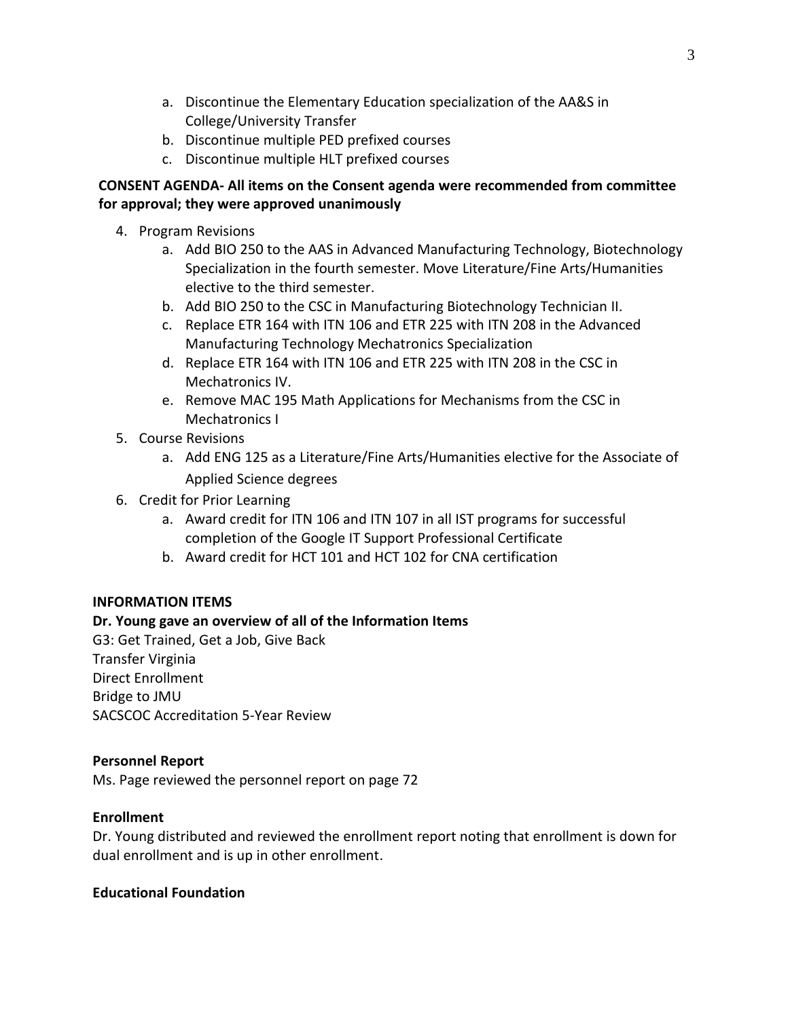- a. Discontinue the Elementary Education specialization of the AA&S in College/University Transfer
- b. Discontinue multiple PED prefixed courses
- c. Discontinue multiple HLT prefixed courses

## **CONSENT AGENDA- All items on the Consent agenda were recommended from committee for approval; they were approved unanimously**

- 4. Program Revisions
	- a. Add BIO 250 to the AAS in Advanced Manufacturing Technology, Biotechnology Specialization in the fourth semester. Move Literature/Fine Arts/Humanities elective to the third semester.
	- b. Add BIO 250 to the CSC in Manufacturing Biotechnology Technician II.
	- c. Replace ETR 164 with ITN 106 and ETR 225 with ITN 208 in the Advanced Manufacturing Technology Mechatronics Specialization
	- d. Replace ETR 164 with ITN 106 and ETR 225 with ITN 208 in the CSC in Mechatronics IV.
	- e. Remove MAC 195 Math Applications for Mechanisms from the CSC in Mechatronics I
- 5. Course Revisions
	- a. Add ENG 125 as a Literature/Fine Arts/Humanities elective for the Associate of Applied Science degrees
- 6. Credit for Prior Learning
	- a. Award credit for ITN 106 and ITN 107 in all IST programs for successful completion of the Google IT Support Professional Certificate
	- b. Award credit for HCT 101 and HCT 102 for CNA certification

## **INFORMATION ITEMS**

# **Dr. Young gave an overview of all of the Information Items**

G3: Get Trained, Get a Job, Give Back Transfer Virginia Direct Enrollment Bridge to JMU SACSCOC Accreditation 5-Year Review

## **Personnel Report**

Ms. Page reviewed the personnel report on page 72

## **Enrollment**

Dr. Young distributed and reviewed the enrollment report noting that enrollment is down for dual enrollment and is up in other enrollment.

## **Educational Foundation**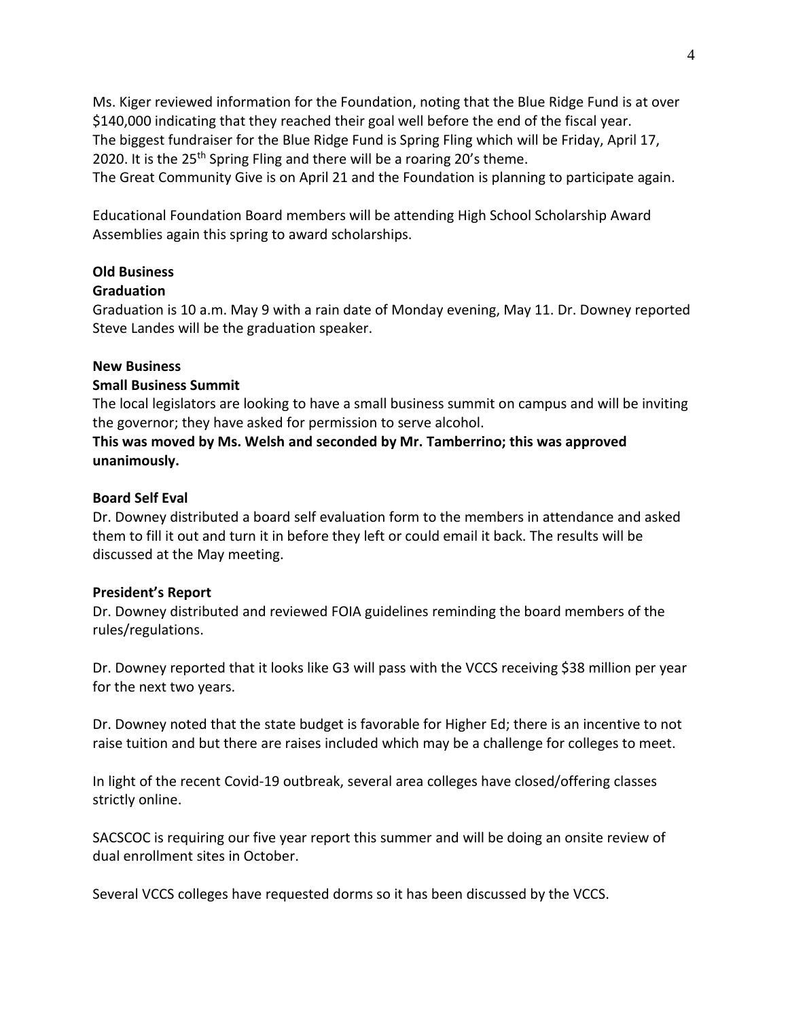Ms. Kiger reviewed information for the Foundation, noting that the Blue Ridge Fund is at over \$140,000 indicating that they reached their goal well before the end of the fiscal year. The biggest fundraiser for the Blue Ridge Fund is Spring Fling which will be Friday, April 17, 2020. It is the 25<sup>th</sup> Spring Fling and there will be a roaring 20's theme. The Great Community Give is on April 21 and the Foundation is planning to participate again.

Educational Foundation Board members will be attending High School Scholarship Award Assemblies again this spring to award scholarships.

## **Old Business**

## **Graduation**

Graduation is 10 a.m. May 9 with a rain date of Monday evening, May 11. Dr. Downey reported Steve Landes will be the graduation speaker.

### **New Business**

### **Small Business Summit**

The local legislators are looking to have a small business summit on campus and will be inviting the governor; they have asked for permission to serve alcohol.

## **This was moved by Ms. Welsh and seconded by Mr. Tamberrino; this was approved unanimously.**

### **Board Self Eval**

Dr. Downey distributed a board self evaluation form to the members in attendance and asked them to fill it out and turn it in before they left or could email it back. The results will be discussed at the May meeting.

#### **President's Report**

Dr. Downey distributed and reviewed FOIA guidelines reminding the board members of the rules/regulations.

Dr. Downey reported that it looks like G3 will pass with the VCCS receiving \$38 million per year for the next two years.

Dr. Downey noted that the state budget is favorable for Higher Ed; there is an incentive to not raise tuition and but there are raises included which may be a challenge for colleges to meet.

In light of the recent Covid-19 outbreak, several area colleges have closed/offering classes strictly online.

SACSCOC is requiring our five year report this summer and will be doing an onsite review of dual enrollment sites in October.

Several VCCS colleges have requested dorms so it has been discussed by the VCCS.